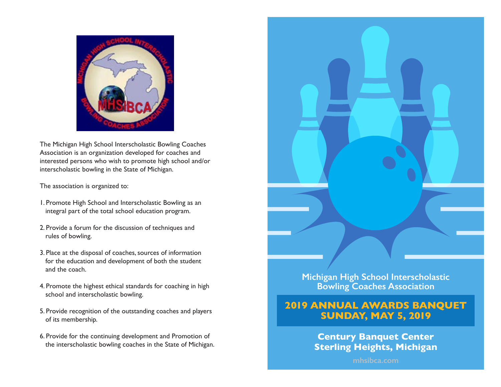

The Michigan High School Interscholastic Bowling Coaches Association is an organization developed for coaches and interested persons who wish to promote high school and/or interscholastic bowling in the State of Michigan.

The association is organized to:

- 1. Promote High School and Interscholastic Bowling as an integral part of the total school education program.
- 2. Provide a forum for the discussion of techniques and rules of bowling.
- 3. Place at the disposal of coaches, sources of information for the education and development of both the student and the coach.
- 4. Promote the highest ethical standards for coaching in high school and interscholastic bowling.
- 5. Provide recognition of the outstanding coaches and players of its membership.
- 6. Provide for the continuing development and Promotion of the interscholastic bowling coaches in the State of Michigan.



**Michigan High School Interscholastic Bowling Coaches Association**

# **2019 ANNUAL AWARDS BANQUET SUNDAY, MAY 5, 2019**

**Century Banquet Center Sterling Heights, Michigan**

**mhsibca.com**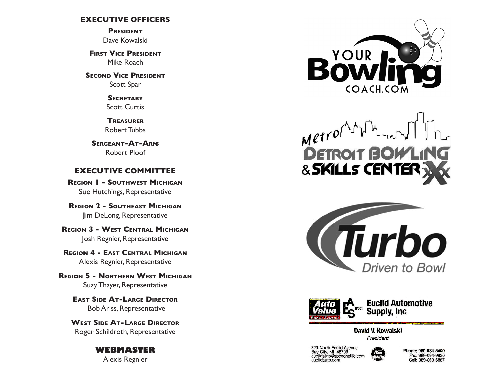### **EXECUTIVE OFFICERS**

**President** Dave Kowalski

**FIRST VICE PRESIDENT** Mike Roach

**SECOND VICE PRESIDENT** Scott Spar

> **Secretary** Scott Curtis

**Treasurer** Robert Tubbs

**Sergeant-At-Arms** Robert Ploof

### **EXECUTIVE COMMITTEE**

**Region 1 - Southwest Michigan** Sue Hutchings, Representative

**Region 2 - Southeast Michigan** Jim DeLong, Representative

**Region 3 - West Central Michigan** Josh Regnier, Representative

**Region 4 - East Central Michigan** Alexis Regnier, Representative

**Region 5 - Northern West Michigan** Suzy Thayer, Representative

> **East Side At-Large Director** Bob Ariss, Representative

**West Side At-Large Director** Roger Schildroth, Representative

### **WEBMASTER** Alexis Regnier



Metrof & SKILLS CENTEI





David V. Kowalski President

823 North Euclid Avenue<br>Bay City, MI 48706<br>euclidauto@speednetllc.com euclidauto.com



Phone: 989-684-5400 Fax: 989-684-9830 Cell: 989-860-6887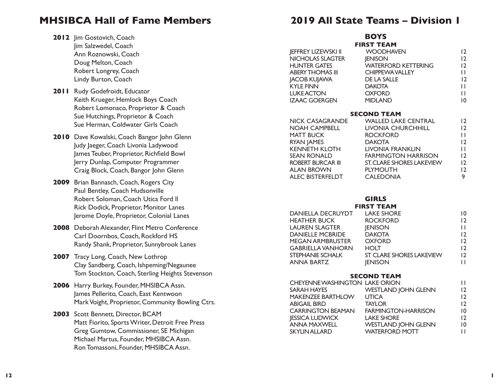# **MHSIBCA Hall of Fame Members**

- 2012 Jim Gostovich, Coach Jim Salzwedel, Coach Ann Roznowski, Coach Doug Melton, Coach Robert Longrey, Coach Lindy Burton, Coach
- **2011** Rudy Godefroidt, Educator Keith Krueger, Hemlock Boys Coach Robert Lomonaco, Proprietor & Coach Sue Hutchings, Proprietor & Coach Sue Herman, Coldwater Girls Coach
- **2010** Dave Kowalski, Coach Bangor John Glenn Judy Jaeger, Coach Livonia Ladywood James Teuber, Proprietor, Richfield Bowl Jerry Dunlap, Computer Programmer Craig Block, Coach, Bangor John Glenn
- **2009** Brian Bannasch, Coach, Rogers City Paul Bentley, Coach Hudsonville Robert Soloman, Coach Utica Ford ll Rick Dodick, Proprietor, Monitor Lanes Jerome Doyle, Proprietor, Colonial Lanes
- **2008** Deborah Alexander, Flint Metro Conference Carl Doornbos, Coach, Rockford HS Randy Shank, Proprietor, Sunnybrook Lanes
- 2007 Tracy Long, Coach, New Lothrop Clay Sandberg, Coach, Ishpeming/Negaunee Tom Stockton, Coach, Sterling Heights Stevenson
- **2006** Harry Burkey, Founder, MHSIBCA Assn. James Pellerito, Coach, East Kentwoon Mark Voight, Proprietor, Community Bowling Ctrs.
- **2003** Scott Bennett, Director, BCAM Matt Fiorito, Sports Writer, Detroit Free Press Greg Gumtow, Commissioner, SE Michigan Michael Martus, Founder, MHSIBCA Assn. Ron Tomassoni, Founder, MHSIBCA Assn.

# **2019 All State Teams – Division 1**

**BOYS FIRST TEAM** JEFFREY LIZEWSKI II WOODHAVEN 12 NICHOLAS SLAGTER IENISON 12 HUNTER GATES WATERFORD KETTERING 12 ABERY THOMAS III CHIPPEWA VALLEY II JACOB KUJAWA DE LA SALLE 12 KYLE FINN DAKOTA NAME OF THE RESERVE OF THE RESERVE OF THE RESERVE OF THE RESERVE OF THE RESERVE OF THE RESERVE OF THE RESERVE OF THE RESERVE OF THE RESERVE OF THE RESERVE OF THE RESERVE OF THE RESERVE OF THE RESERVE OF TH LUKE ACTON OXFORD II IZAAC GOERGEN MIDLAND 10

| <b>SECOND TEAM</b>   |                                  |                |  |
|----------------------|----------------------------------|----------------|--|
| NICK CASAGRANDE      | <b>WALLED LAKE CENTRAL</b>       | 12             |  |
| <b>NOAH CAMPBELL</b> | LIVONIA CHURCHHILL               | $\overline{2}$ |  |
| MATT BUCK            | <b>ROCKFORD</b>                  | $\mathsf{L}$   |  |
| RYAN JAMES           | <b>DAKOTA</b>                    | $\overline{2}$ |  |
| <b>KENNETH KLOTH</b> | LIVONIA FRANKLIN                 | $\mathsf{L}$   |  |
| SEAN RONALD          | <b>FARMINGTON HARRISON</b>       | $\overline{2}$ |  |
| ROBERT BURCAR III    | <b>ST. CLARE SHORES LAKEVIEW</b> | 12             |  |
| ALAN BROWN           | <b>PLYMOUTH</b>                  | 12             |  |
| ALEC BISTERFELDT     | <b>CALEDONIA</b>                 | 9              |  |
|                      |                                  |                |  |

#### **GIRLS FIRST TEAM**

| <b>DANIELLA DECRUYDT</b> | <b>LAKE SHORE</b>               | 10              |
|--------------------------|---------------------------------|-----------------|
| <b>HEATHER BUCK</b>      | <b>ROCKFORD</b>                 | $\overline{12}$ |
| <b>LAUREN SLAGTER</b>    | <b>JENISON</b>                  | ш               |
| <b>DANIELLE MCBRIDE</b>  | <b>DAKOTA</b>                   | 12              |
| <b>MEGAN ARMBRUSTER</b>  | <b>OXFORD</b>                   | $\overline{12}$ |
| <b>GABRIELLA VANHORN</b> | <b>HOLT</b>                     | 12              |
| STEPHANIE SCHALK         | <b>ST CLARE SHORES LAKEVIEW</b> | 12              |
| <b>ANNA BARTZ</b>        | <b>IENISON</b>                  | ш               |

#### **SECOND TEAM**

| CHEYENNE WASHINGTON LAKE ORION |                            | П  |
|--------------------------------|----------------------------|----|
| <b>SARAH HAYES</b>             | <b>WESTLAND JOHN GLENN</b> | 12 |
| <b>MAKENZEE BARTHLOW</b>       | <b>UTICA</b>               | 12 |
| <b>ABIGAIL BIRD</b>            | <b>TAYLOR</b>              | 12 |
| <b>CARRINGTON BEAMAN</b>       | <b>FARMINGTON-HARRISON</b> | 10 |
| <b>JESSICA LUDWICK</b>         | <b>LAKE SHORE</b>          | 12 |
| <b>ANNA MAXWELL</b>            | <b>WESTLAND JOHN GLENN</b> | 10 |
| <b>SKYLIN ALLARD</b>           | <b>WATERFORD MOTT</b>      | П  |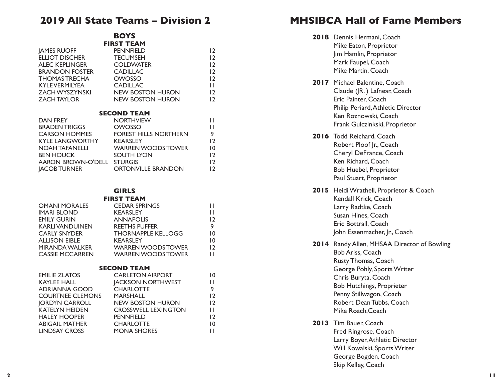# **2019 All State Teams – Division 2**

**BOYS**

|                          | <b>FIRST TEAM</b>                 |                |
|--------------------------|-----------------------------------|----------------|
| <b>JAMES RUOFF</b>       | <b>PENNFIELD</b>                  | 12             |
| ELLIOT DISCHER           | <b>TECUMSEH</b>                   | $\overline{2}$ |
| ALEC KEPLINGER COLDWATER |                                   | $\overline{2}$ |
| BRANDON FOSTER           | <b>CADILLAC</b>                   | $\overline{2}$ |
| THOMAS TRECHA            | <b>OWOSSO</b>                     | $\overline{2}$ |
| KYLEVERMILYEA            | <b>CADILLAC</b>                   | П              |
| ZACH WYSZYNSKI           | NEW BOSTON HURON                  | 12             |
| ZACH TAYLOR              | NEW BOSTON HURON                  | $\overline{2}$ |
|                          | <b>SECOND TEAM</b>                |                |
| <b>DAN FREY</b>          | <b>NORTHVIEW</b>                  | П              |
| BRADEN TRIGGS            | OWOSSO                            | П              |
| CARSON HOMMES            | FOREST HILLS NORTHERN             | 9              |
| KYLE LANGWORTHY KEARSLEY |                                   | $\overline{2}$ |
|                          | NOAH TAFANELLI WARREN WOODS TOWER | 10             |
| <b>BEN HOUCK</b>         | SOUTH LYON                        | 12             |
| AARON BROWN-O'DELL       | <b>STURGIS</b>                    | $\overline{2}$ |
| <b>IACOB TURNER</b>      | <b>ORTONVILLE BRANDON</b>         | 12             |

#### **GIRLS FIRST TEAM**

|                        | .                         |    |
|------------------------|---------------------------|----|
| <b>OMANI MORALES</b>   | <b>CEDAR SPRINGS</b>      | H  |
| <b>IMARI BLOND</b>     | <b>KEARSLEY</b>           | ш  |
| <b>EMILY GURIN</b>     | <b>ANNAPOLIS</b>          | 12 |
| <b>KARLIVANDUINEN</b>  | <b>REETHS PUFFER</b>      | 9  |
| <b>CARLY SNYDER</b>    | <b>THORNAPPLE KELLOGG</b> | 10 |
| <b>ALLISON EIBLE</b>   | <b>KEARSLEY</b>           | 10 |
| <b>MIRANDA WALKER</b>  | <b>WARREN WOODS TOWER</b> | 12 |
| <b>CASSIE MCCARREN</b> | <b>WARREN WOODS TOWER</b> | П  |
|                        |                           |    |
|                        |                           |    |

#### **SECOND TEAM** EMILIE ZLATOS CARLETON AIRPORT 10 KAYLEE HALL **JACKSON NORTHWEST** ADRIANNA GOOD CHARLOTTE  $\frac{9}{12}$ COURTNEE CLEMONS MARSHALL JORDYN CARROLL NEW BOSTON HURON 12 KATELYN HEIDEN CROSSWELL LEXINGTON 11 HALEY HOOPER PENNFIELD 12 ABIGAIL MATHER CHARLOTTE 10 LINDSAY CROSS MONA SHORES 11

# **MHSIBCA Hall of Fame Members**

- **2018** Dennis Hermani, Coach Mike Eaton, Proprietor Jim Hamlin, Proprietor Mark Faupel, Coach Mike Martin, Coach
- 2017 Michael Balentine, Coach Claude (JR. ) Lafnear, Coach Eric Painter, Coach Philip Periard, Athletic Director Ken Roznowski, Coach Frank Gulczinkski, Proprietor
- **2016** Todd Reichard, Coach Robert Ploof Jr., Coach Cheryl DeFrance, Coach Ken Richard, Coach Bob Huebel, Proprietor Paul Stuart, Proprietor
- **2015** Heidi Wrathell, Proprietor & Coach Kendall Krick, Coach Larry Radtke, Coach Susan Hines, Coach Eric Bottrall, Coach John Essenmacher, Jr., Coach
- **2014** Randy Allen, MHSAA Director of Bowling

Bob Ariss, Coach Rusty Thomas, Coach George Pohly, Sports Writer Chris Buryta, Coach Bob Hutchings, Proprieter Penny Stillwagon, Coach Robert Dean Tubbs, Coach Mike Roach,Coach

**2013** Tim Bauer, Coach Fred Ringrose, Coach Larry Boyer, Athletic Director Will Kowalski, Sports Writer George Bogden, Coach Skip Kelley, Coach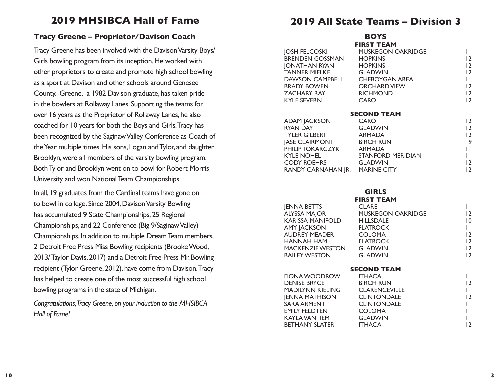# **2019 MHSIBCA Hall of Fame**

### **Tracy Greene – Proprietor/Davison Coach**

Tracy Greene has been involved with the Davison Varsity Boys/ Girls bowling program from its inception. He worked with other proprietors to create and promote high school bowling as a sport at Davison and other schools around Genesee County. Greene, a 1982 Davison graduate, has taken pride in the bowlers at Rollaway Lanes. Supporting the teams for over 16 years as the Proprietor of Rollaway Lanes, he also coached for 10 years for both the Boys and Girls. Tracy has been recognized by the Saginaw Valley Conference as Coach of the Year multiple times. His sons, Logan and Tylor, and daughter Brooklyn, were all members of the varsity bowling program. Both Tylor and Brooklyn went on to bowl for Robert Morris University and won National Team Championships.

In all, 19 graduates from the Cardinal teams have gone on to bowl in college. Since 2004, Davison Varsity Bowling has accumulated 9 State Championships, 25 Regional Championships, and 22 Conference (Big 9/Saginaw Valley) Championships. In addition to multiple Dream Team members, 2 Detroit Free Press Miss Bowling recipients (Brooke Wood, 2013/ Taylor Davis, 2017) and a Detroit Free Press Mr. Bowling recipient (Tylor Greene, 2012), have come from Davison. Tracy has helped to create one of the most successful high school bowling programs in the state of Michigan.

*Congratulations,Tracy Greene, on your induction to the MHSIBCA Hall of Fame!*

# **2019 All State Teams – Division 3**

|                                 | <b>BOYS</b>       |                |
|---------------------------------|-------------------|----------------|
|                                 | <b>FIRST TEAM</b> |                |
|                                 |                   | $\mathbf{H}$   |
|                                 |                   | 12             |
| JONATHAN RYAN HOPKINS           |                   | 12             |
| TANNER MIELKE GLADWIN           |                   | 12             |
| DAWSON CAMPBELL CHEBOYGAN AREA  |                   | $\mathbf{H}$   |
| BRADY BOWEN ORCHARD VIEW        |                   | 12             |
| ZACHARY RAY RICHMOND            |                   | $\overline{2}$ |
| KYLE SEVERN                     | CARO              | 12             |
| <b>SECOND TEAM</b>              |                   |                |
|                                 |                   | 12             |
|                                 |                   | 12             |
|                                 |                   | 12             |
| <b>JASE CLAIRMONT BIRCH RUN</b> |                   | 9              |
| PHILIP TOKARCZYK ARMADA         |                   | $\mathbf{H}$   |
| KYLE NOHEL STANFORD MERIDIAN    |                   | $\mathbf{L}$   |
| CODY ROEHRS GLADWIN             |                   | 12             |
| RANDY CARNAHAN JR. MARINE CITY  |                   | $\overline{2}$ |

# **GIRLS**

|                         | <b>FIRST TEAM</b>        |                |
|-------------------------|--------------------------|----------------|
| <b>JENNA BETTS</b>      | <b>CLARE</b>             | Н              |
| <b>ALYSSA MAJOR</b>     | <b>MUSKEGON OAKRIDGE</b> | 12             |
| KARISSA MANIFOLD        | <b>HILLSDALE</b>         | 10             |
| <b>AMY JACKSON</b>      | <b>FLATROCK</b>          | Н              |
| <b>AUDREY MEADER</b>    | <b>COLOMA</b>            | 12             |
| <b>HANNAH HAM</b>       | <b>FLATROCK</b>          | 12             |
| <b>MACKENZIE WESTON</b> | <b>GLADWIN</b>           | 12             |
| <b>BAILEY WESTON</b>    | <b>GLADWIN</b>           | $\overline{2}$ |
| <b>SECOND TEAM</b>      |                          |                |
| <b>FIONA WOODROW</b>    | <b>ITHACA</b>            | П              |
| <b>DENISE BRYCE</b>     | <b>BIRCH RUN</b>         | 12             |
| <b>MADILYNN KIELING</b> | <b>CLARENCEVILLE</b>     | Н              |
| <b>JENNA MATHISON</b>   | <b>CLINTONDALE</b>       | 12             |
| <b>SARA ARMENT</b>      | <b>CLINTONDALE</b>       | П              |
| <b>EMILY FELDTEN</b>    | <b>COLOMA</b>            | П              |
| KAYLA VANTIEM           | <b>GLADWIN</b>           | Н              |
| <b>BETHANY SLATER</b>   | <b>ITHACA</b>            | 12             |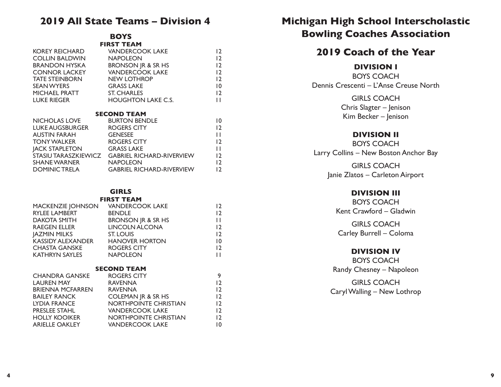## **2019 All State Teams – Division 4**

#### **BOYS FIRST TEAM**

| KOREY REICHARD        | <b>VANDERCOOK LAKE</b>           | $\overline{2}$ |
|-----------------------|----------------------------------|----------------|
| <b>COLLIN BALDWIN</b> | <b>NAPOLEON</b>                  | $\overline{2}$ |
| <b>BRANDON HYSKA</b>  | <b>BRONSON JR &amp; SR HS</b>    | 12             |
| <b>CONNOR LACKEY</b>  | <b>VANDERCOOK LAKE</b>           | 12             |
| <b>TATE STEINBORN</b> | <b>NEW LOTHROP</b>               | 12             |
| <b>SEAN WYERS</b>     | <b>GRASS LAKE</b>                | 10             |
| MICHAEL PRATT         | <b>ST. CHARLES</b>               | 12             |
| <b>LUKE RIEGER</b>    | <b>HOUGHTON LAKE C.S.</b>        | $\mathsf{L}$   |
|                       |                                  |                |
|                       | <b>SECOND TEAM</b>               |                |
| NICHOLAS LOVE         | <b>BURTON BENDLE</b>             | 10             |
| LUKE AUGSBURGER       | ROGERS CITY                      | 12             |
| AUSTIN FARAH          | <b>GENESEE</b>                   | П              |
| TONY WALKER           | ROGERS CITY                      | 12             |
| <b>JACK STAPLETON</b> | <b>GRASS LAKE</b>                | П              |
| STASIU TARASZKIEWICZ  | <b>GABRIEL RICHARD-RIVERVIEW</b> | 12             |
| SHANE WARNER          | <b>NAPOLEON</b>                  | $\overline{2}$ |
| <b>DOMINIC TRELA</b>  | <b>GABRIEL RICHARD-RIVERVIEW</b> | $\overline{2}$ |

# **GIRLS**

#### **FIRST TEAM** MACKENZIE JOHNSON VANDERCOOK LAKE 12 RYLEE LAMBERT BENDLE 12 DAKOTA SMITH BRONSON IR & SR HS RAEGEN ELLER LINCOLN ALCONA 12 JAZMIN MILKS ST. LOUIS 12 KASSIDY ALEXANDER HANOVER HORTON 10 CHASTA GANSKE ROGERS CITY 12 KATHRYN SAYLES NAPOLEON 11 **SECOND TEAM** CHANDRA GANSKE ROGERS CITY 9 LAUREN MAY RAVENNA 12 BRIENNA MCFARREN RAVENNA 12 BAILEY RANCK COLEMAN JR & SR HS 12 LYDIA FRANCE NORTHPOINTE CHRISTIAN 12 PRESLEE STAHL VANDERCOOK LAKE 12

HOLLY KOOIKER NORTHPOINTE CHRISTIAN 12 ARIELLE OAKLEY VANDERCOOK LAKE 10

# **Michigan High School Interscholastic Bowling Coaches Association**

# **2019 Coach of the Year**

### **DIVISION I**

BOYS COACH Dennis Crescenti – L'Anse Creuse North

> GIRLS COACH Chris Slagter – Jenison Kim Becker – Jenison

### **DIVISION II**

BOYS COACH Larry Collins – New Boston Anchor Bay

> GIRLS COACH Janie Zlatos – Carleton Airport

### **DIVISION III**

BOYS COACH Kent Crawford – Gladwin

GIRLS COACH Carley Burrell – Coloma

### **DIVISION IV**

BOYS COACH Randy Chesney – Napoleon

GIRLS COACH Caryl Walling – New Lothrop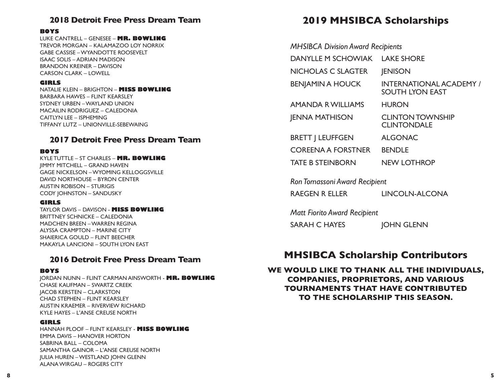### **2018 Detroit Free Press Dream Team**

#### **BOYS**

LUKE CANTRELL – GENESEE – **MR. BOWLING** TREVOR MORGAN – KALAMAZOO LOY NORRIX GABE CASSISE – WYANDOTTE ROOSEVELT ISAAC SOLIS – ADRIAN MADISON BRANDON KREINER – DAVISON CARSON CLARK – LOWELL

#### **GIRLS**

NATALIE KLEIN – BRIGHTON – **MISS BOWLING** BARBARA HAWES – FLINT KEARSLEY SYDNEY URBEN – WAYLAND UNION MACAILIN RODRIGUEZ – CALEDONIA CAITLYN LEE – ISPHEMING TIFFANY LUTZ – UNIONVILLE-SEBEWAING

### **2017 Detroit Free Press Dream Team**

#### **BOYS**

KYLE TUTTLE – ST CHARLES – **MR. BOWLING** JIMMY MITCHELL – GRAND HAVEN GAGE NICKELSON – WYOMING KELLOGGSVILLE DAVID NORTHOUSE – BYRON CENTER AUSTIN ROBISON – STURIGIS CODY JOHNSTON – SANDUSKY

#### **GIRLS**

TAYLOR DAVIS – DAVISON - **MISS BOWLING** BRITTNEY SCHNICKE – CALEDONIA MADCHEN BREEN – WARREN REGINA ALYSSA CRAMPTON – MARINE CITY SHAIERICA GOULD – FLINT BEECHER MAKAYLA LANCIONI – SOUTH LYON EAST

### **2016 Detroit Free Press Dream Team**

#### **BOYS**

JORDAN NUNN – FLINT CARMAN AINSWORTH - **MR. BOWLING** CHASE KAUFMAN – SWARTZ CREEK JACOB KERSTEN – CLARKSTON CHAD STEPHEN – FLINT KEARSLEY AUSTIN KRAEMER – RIVERVIEW RICHARD KYLE HAYES – L'ANSE CREUSE NORTH

#### **GIRLS**

HANNAH PLOOF – FLINT KEARSLEY - **MISS BOWLING** EMMA DAVIS – HANOVER HORTON SABRINA BALL – COLOMA SAMANTHA GAINOR – L'ANSE CREUSE NORTH JULIA HUREN – WESTLAND JOHN GLENN ALANA WIRGAU – ROGERS CITY

# **2019 MHSIBCA Scholarships**

| <b>MHSIBCA Division Award Recipients</b> |                                                          |
|------------------------------------------|----------------------------------------------------------|
| <b>DANYLLE M SCHOWIAK</b>                | <b>LAKE SHORE</b>                                        |
| NICHOLAS C SLAGTER                       | <b>JENISON</b>                                           |
| <b>BENJAMIN A HOUCK</b>                  | <b>INTERNATIONAL ACADEMY /</b><br><b>SOUTH LYON EAST</b> |
| <b>AMANDA R WILLIAMS</b>                 | <b>HURON</b>                                             |
| <b>JENNA MATHISON</b>                    | <b>CLINTON TOWNSHIP</b><br><b>CLINTONDALE</b>            |
| <b>BRETT   LEUFFGEN</b>                  | <b>ALGONAC</b>                                           |
| <b>COREENA A FORSTNER</b>                | <b>BENDLE</b>                                            |
| <b>TATE B STEINBORN</b>                  | <b>NEW LOTHROP</b>                                       |
|                                          |                                                          |

*Ron Tomassoni Award Recipient*

RAEGEN R ELLER LINCOLN-ALCONA

*Matt Fiorito Award Recipient*

SARAH C HAYES JOHN GLENN

# **MHSIBCA Scholarship Contributors**

**WE WOULD LIKE TO THANK ALL THE INDIVIDUALS, COMPANIES, PROPRIETORS, AND VARIOUS TOURNAMENTS THAT HAVE CONTRIBUTED TO THE SCHOLARSHIP THIS SEASON.**